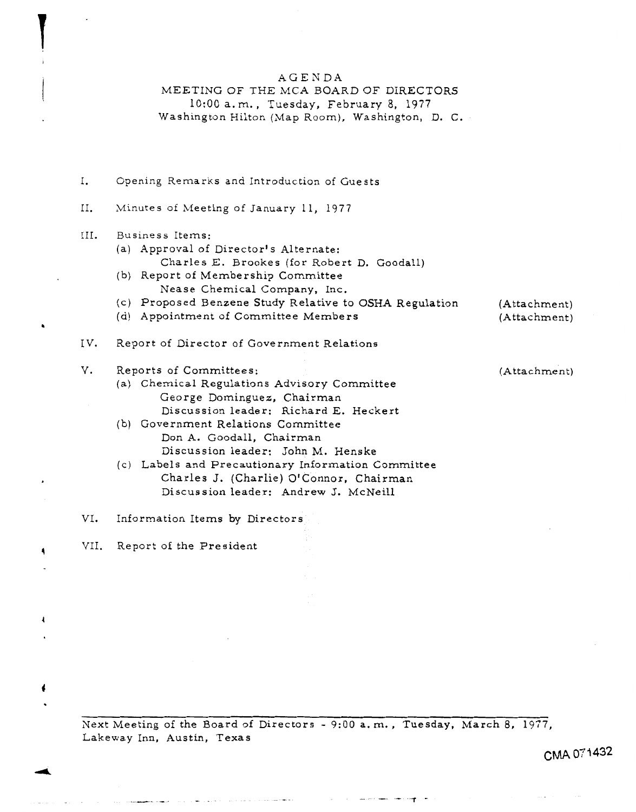## AGENDA

# MEETING OF THE MCA BOARD OF DIRECTORS

1O:OO a.m., Tuesday, February 8, 1977 Washington Hilton (Map Room), Washington, D. C.

| Ι.   | Opening Remarks and Introduction of Guests                                                                                                                                                                                                                                                                                                                                                   |              |
|------|----------------------------------------------------------------------------------------------------------------------------------------------------------------------------------------------------------------------------------------------------------------------------------------------------------------------------------------------------------------------------------------------|--------------|
| Н.   | Minutes of Meeting of January 11, 1977                                                                                                                                                                                                                                                                                                                                                       |              |
| III. | Business Items:<br>(a) Approval of Director's Alternate:<br>Charles E. Brookes (for Robert D. Goodall)<br>(b) Report of Membership Committee<br>Nease Chemical Company, Inc.<br>(c) Proposed Benzene Study Relative to OSHA Regulation                                                                                                                                                       | (Attachment) |
|      | (d) Appointment of Committee Members                                                                                                                                                                                                                                                                                                                                                         | (Attachment) |
| IV.  | Report of Director of Government Relations                                                                                                                                                                                                                                                                                                                                                   |              |
| V.   | Reports of Committees:<br>(a) Chemical Regulations Advisory Committee<br>George Dominguez, Chairman<br>Discussion leader: Richard E. Heckert<br>(b) Government Relations Committee<br>Don A. Goodall, Chairman<br>Discussion leader: John M. Henske<br>(c) Labels and Precautionary Information Committee<br>Charles J. (Charlie) O'Connor, Chairman<br>Discussion leader: Andrew J. McNeill | (Attachment) |

VI. Information Items by Directors

VII. **<sup>4</sup>** Report of the President

 $\mathbf{I}$ 

**b** 

 $\sqrt{2}$ 

♦

Next Meeting of the Board of Directors - 9:00 a.m., Tuesday, March 8, 1977, Lakeway Inn, Austin, Texas

.<br>The contract of the contract of the contract of the contract of the contract of the contract of the contract of

 $\mathcal{A}^{\mathrm{max}}$ 

**CMA** 07 I **432** 

 $\sim 100$  km  $^{-1}$  .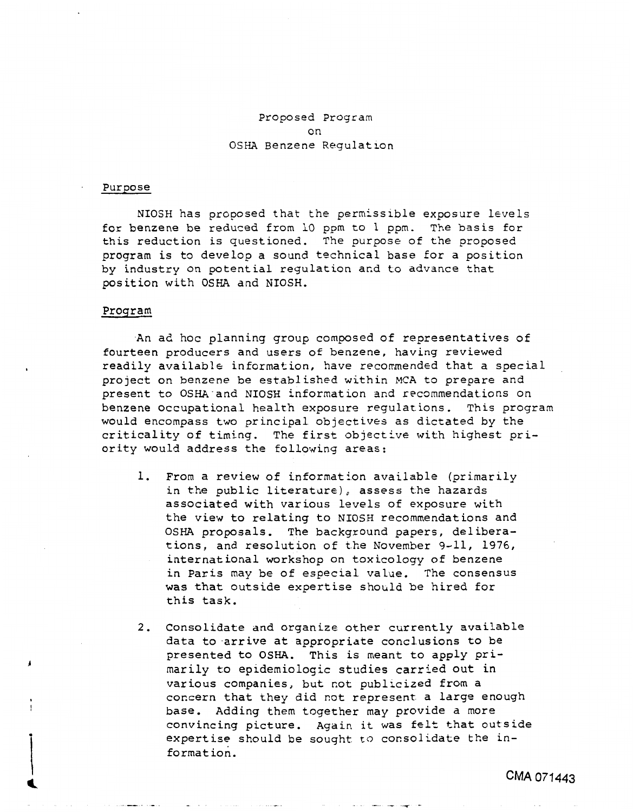# Proposed Program on **OSHA** Benzene Regulation

#### Purpose

NIOSH has proposed that the permissible exposure levels for benzene be reduced from 10 ppm to 1 ppm. The basis **for**  this reduction is questioned. The purpose of the proposed program is to develop a sound technical base for a position by industry on potential regulation and to advance that position with **OSHA** and NIOSH.

#### Program

*b* 

An ad hoc planning group composed of representatives of fourteen producers and users of benzene, having reviewed readily available information, have recommended that a special project on benzene be established within MCA to prepare and present to **OSHA** and NIOSH lnformat ion and recommendat ions on benzene occupational **health** exposure regulations. This program would encompass two principal objectives as dictated by the criticality of timing. The first objective with highest priority would address the following areas:

- **1.** From a review of information available (primarily in the public literature), assess the hazards associated with various levels of exposure with the view to relating to NIOSH recommendations and **OSHA** proposals. The background papers, deliberations, and resolution of the November 9-11, 1976, international workshop on toxicology of benzene in Paris may be of especial value. The consensus was that outside expertise should be hired for this task.
- **2.** Consolidate and organize other currently available data to arrive at appropriate conclusions **to** be presented to **OSHA.** This is meant to apply primarily to epidemiologic studies carried out in various companies, but not publicized from a concern that they did not represent a large enough base. Adding them together may provide a more convincing picture. Again it was felt that outside expertise should be sought **to** consolidate the informat ion.

**I-** -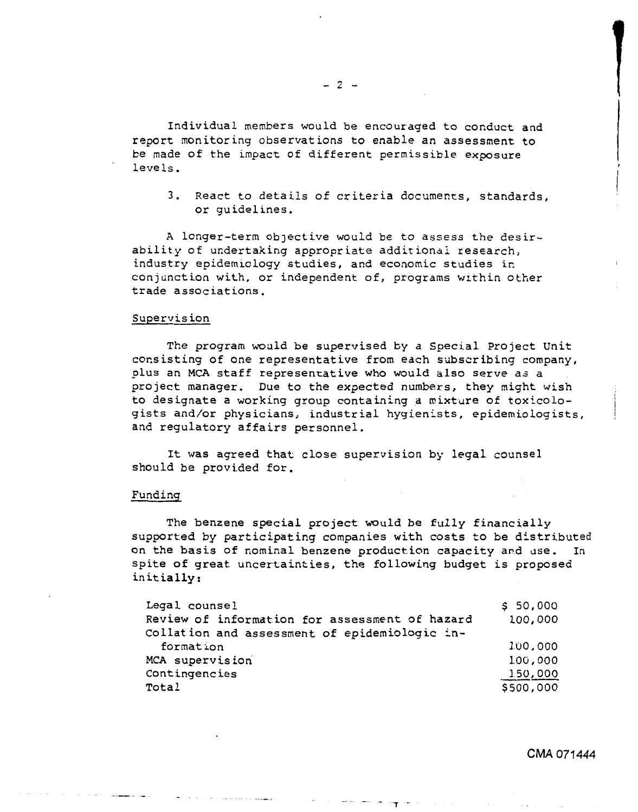Individual members would be encouraged to conduct and report monitoring observations *to* enable an assessment to be made of the impact of different permissible exposure leve **Is.** 

3. React to details of criteria documents, standards, or guidelines.

**A** longer-term objective would be to *assess* the desirability of undertaking appropriate additional research, industry epidemiology studies, and economic studies ir. conjunction with, or independent of, programs within other trade associations.

### Supervision

The program would be supervised **by** a Special Project Unit consisting of one representative from each subscribing company, plus an MCA staff representative who would **also** serve a3 a project manager. Due to the expected numbers, they might wish I to designate a working group containing a mixture of toxicologists and/or physicians, industrial hygienists, epidemiologists, and regulatory affairs personnel.

It was agreed that close supervision by legal counsel should be provided for.

#### Funding

The benzene special project would be fully financially supported by participating companies with **costs** to be distributed on the basis of nominal benzene production capacity and use. In spite of great uncertainties, the following budget is proposed initially:

| Legal counsel                                  | \$50,000  |
|------------------------------------------------|-----------|
| Review of information for assessment of hazard | 100,000   |
| Collation and assessment of epidemiologic in-  |           |
| formation                                      | 100,000   |
| MCA supervision                                | 100,000   |
| Contingencies                                  | 150,000   |
| Total                                          | \$500,000 |

*CMA* **071444**